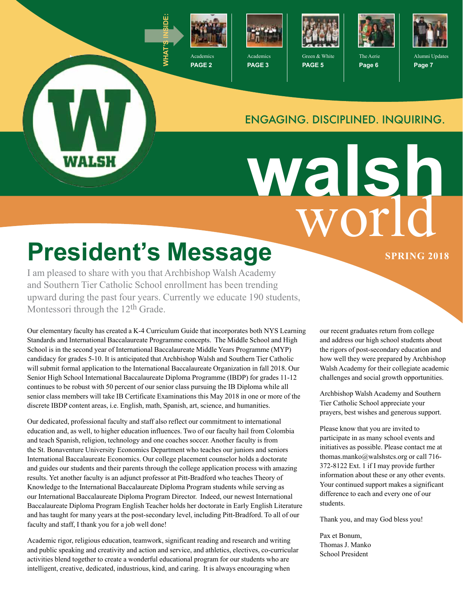

**PAGE 2**



**PAGE 3**



**PAGE 5**



The Aerie **Page 6**



Alumni Updates **Page 7**

#### ENGAGING. DISCIPLINED. INQUIRING.

world **walsh**

# **President's Message SPRING 2018**

WALSH

I am pleased to share with you that Archbishop Walsh Academy and Southern Tier Catholic School enrollment has been trending upward during the past four years. Currently we educate 190 students, Montessori through the 12<sup>th</sup> Grade.

Our elementary faculty has created a K-4 Curriculum Guide that incorporates both NYS Learning Standards and International Baccalaureate Programme concepts. The Middle School and High School is in the second year of International Baccalaureate Middle Years Programme (MYP) candidacy for grades 5-10. It is anticipated that Archbishop Walsh and Southern Tier Catholic will submit formal application to the International Baccalaureate Organization in fall 2018. Our Senior High School International Baccalaureate Diploma Programme (IBDP) for grades 11-12 continues to be robust with 50 percent of our senior class pursuing the IB Diploma while all senior class members will take IB Certificate Examinations this May 2018 in one or more of the discrete IBDP content areas, i.e. English, math, Spanish, art, science, and humanities.

Our dedicated, professional faculty and staff also reflect our commitment to international education and, as well, to higher education influences. Two of our faculty hail from Colombia and teach Spanish, religion, technology and one coaches soccer. Another faculty is from the St. Bonaventure University Economics Department who teaches our juniors and seniors International Baccalaureate Economics. Our college placement counselor holds a doctorate and guides our students and their parents through the college application process with amazing results. Yet another faculty is an adjunct professor at Pitt-Bradford who teaches Theory of Knowledge to the International Baccalaureate Diploma Program students while serving as our International Baccalaureate Diploma Program Director. Indeed, our newest International Baccalaureate Diploma Program English Teacher holds her doctorate in Early English Literature and has taught for many years at the post-secondary level, including Pitt-Bradford. To all of our faculty and staff, I thank you for a job well done!

Academic rigor, religious education, teamwork, significant reading and research and writing and public speaking and creativity and action and service, and athletics, electives, co-curricular activities blend together to create a wonderful educational program for our students who are intelligent, creative, dedicated, industrious, kind, and caring. It is always encouraging when

our recent graduates return from college and address our high school students about the rigors of post-secondary education and how well they were prepared by Archbishop Walsh Academy for their collegiate academic challenges and social growth opportunities.

Archbishop Walsh Academy and Southern Tier Catholic School appreciate your prayers, best wishes and generous support.

Please know that you are invited to participate in as many school events and initiatives as possible. Please contact me at thomas.manko@walshstcs.org or call 716- 372-8122 Ext. 1 if I may provide further information about these or any other events. Your continued support makes a significant difference to each and every one of our students.

Thank you, and may God bless you!

Pax et Bonum, Thomas J. Manko School President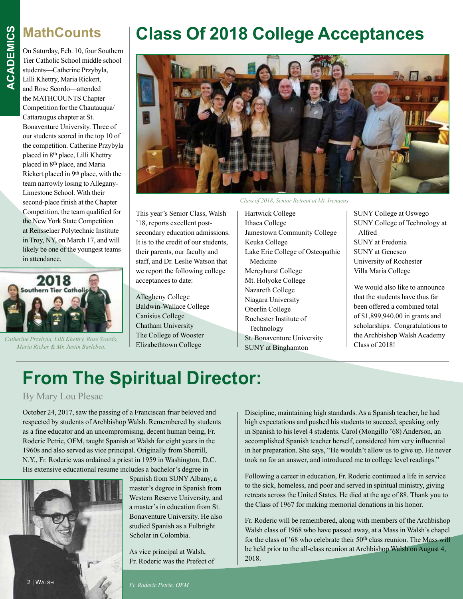#### **MathCounts**

On Saturday, Feb. 10, four Southern Tier Catholic School middle school students—Catherine Przybyla, Lilli Khettry, Maria Rickert, and Rose Scordo—attended the MATHCOUNTS Chapter Competition for the Chautauqua/ Cattaraugus chapter at St. Bonaventure University. Three of our students scored in the top 10 of the competition. Catherine Przybyla placed in 8th place, Lilli Khettry placed in 8th place, and Maria Rickert placed in 9th place, with the team narrowly losing to Allegany-Limestone School. With their second-place finish at the Chapter Competition, the team qualified for the New York State Competition at Rensselaer Polytechnic Institute in Troy, NY, on March 17, and will likely be one of the youngest teams in attendance.



Catherine Przybyla, Lilli Khettry, Rose Scordo,<br>*Maria Ricker & Mr. Justin Barlehen Elizabethtown College* **CLASS Class of 2018!** *Maria Ricker & Mr. Justin Barleben.*

#### **Class Of 2018 College Acceptances**



*Class of 2018, Senior Retreat at Mt. Irenaeus*

This year's Senior Class, Walsh '18, reports excellent postsecondary education admissions. It is to the credit of our students, their parents, our faculty and staff, and Dr. Leslie Watson that we report the following college acceptances to date:

Allegheny College Baldwin-Wallace College Canisius College Chatham University The College of Wooster Elizabethtown College

Hartwick College Ithaca College Jamestown Community College Keuka College Lake Erie College of Osteopathic Medicine Mercyhurst College Mt. Holyoke College Nazareth College Niagara University Oberlin College Rochester Institute of Technology St. Bonaventure University SUNY at Binghamton

SUNY College at Oswego SUNY College of Technology at Alfred SUNY at Fredonia SUNY at Geneseo University of Rochester Villa Maria College

We would also like to announce that the students have thus far been offered a combined total of \$1,899,940.00 in grants and scholarships. Congratulations to the Archbishop Walsh Academy

#### **From The Spiritual Director:**

#### By Mary Lou Plesac

October 24, 2017, saw the passing of a Franciscan friar beloved and respected by students of Archbishop Walsh. Remembered by students as a fine educator and an uncompromising, decent human being, Fr. Roderic Petrie, OFM, taught Spanish at Walsh for eight years in the 1960s and also served as vice principal. Originally from Sherrill, N.Y., Fr. Roderic was ordained a priest in 1959 in Washington, D.C. His extensive educational resume includes a bachelor's degree in



Spanish from SUNY Albany, a master's degree in Spanish from Western Reserve University, and a master's in education from St. Bonaventure University. He also studied Spanish as a Fulbright Scholar in Colombia.

As vice principal at Walsh, Fr. Roderic was the Prefect of Discipline, maintaining high standards. As a Spanish teacher, he had high expectations and pushed his students to succeed, speaking only in Spanish to his level 4 students. Carol (Mongillo '68) Anderson, an accomplished Spanish teacher herself, considered him very influential in her preparation. She says, "He wouldn't allow us to give up. He never took no for an answer, and introduced me to college level readings."

Following a career in education, Fr. Roderic continued a life in service to the sick, homeless, and poor and served in spiritual ministry, giving retreats across the United States. He died at the age of 88. Thank you to the Class of 1967 for making memorial donations in his honor.

Fr. Roderic will be remembered, along with members of the Archbishop Walsh class of 1968 who have passed away, at a Mass in Walsh's chapel for the class of '68 who celebrate their 50<sup>th</sup> class reunion. The Mass will be held prior to the all-class reunion at Archbishop Walsh on August 4, 2018.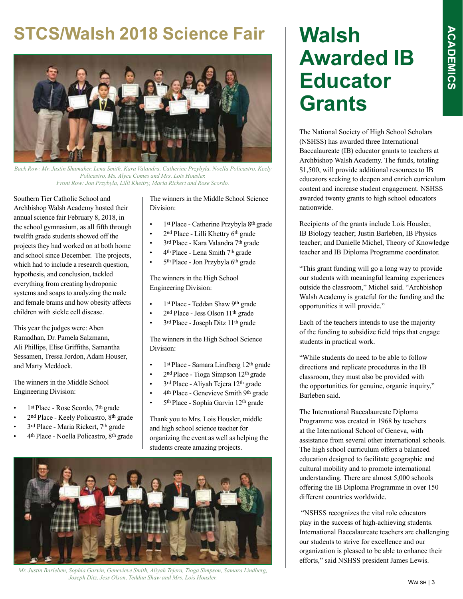#### **STCS/Walsh 2018 Science Fair**



*Back Row: Mr. Justin Shumaker, Lena Smith, Kara Valandra, Catherine Przybyla, Noella Policastro, Keely Policastro, Ms. Alyce Comes and Mrs. Lois Housler. Front Row: Jon Przybyla, Lilli Khettry, Maria Rickert and Rose Scordo.*

Southern Tier Catholic School and Archbishop Walsh Academy hosted their annual science fair February 8, 2018, in the school gymnasium, as all fifth through twelfth grade students showed off the projects they had worked on at both home and school since December. The projects, which had to include a research question, hypothesis, and conclusion, tackled everything from creating hydroponic systems and soaps to analyzing the male and female brains and how obesity affects children with sickle cell disease.

This year the judges were: Aben Ramadhan, Dr. Pamela Salzmann, Ali Phillips, Elise Griffiths, Samantha Sessamen, Tressa Jordon, Adam Houser, and Marty Meddock.

The winners in the Middle School Engineering Division:

- 1<sup>st Place</sup> Rose Scordo, 7<sup>th</sup> grade
- 2nd Place Keely Policastro, 8th grade
- 3<sup>rd</sup> Place Maria Rickert, 7<sup>th</sup> grade
- 4th Place Noella Policastro, 8th grade

The winners in the Middle School Science Division:

- 1st Place Catherine Przybyla 8th grade
- 2nd Place Lilli Khettry 6th grade
- 3<sup>rd</sup> Place Kara Valandra 7<sup>th</sup> grade
- 4th Place Lena Smith 7th grade
- 5th Place Jon Przybyla 6th grade

The winners in the High School Engineering Division:

- 1st Place Teddan Shaw 9th grade
- 2<sup>nd</sup> Place Jess Olson 11<sup>th</sup> grade
- 3rd Place Joseph Ditz 11th grade

The winners in the High School Science Division:

- 1<sup>st</sup> Place Samara Lindberg 12<sup>th</sup> grade
- 2nd Place Tioga Simpson 12th grade
- 3rd Place Aliyah Tejera 12th grade
- 4th Place Genevieve Smith 9th grade
- 5th Place Sophia Garvin 12th grade

Thank you to Mrs. Lois Housler, middle and high school science teacher for organizing the event as well as helping the students create amazing projects.



*Mr. Justin Barleben, Sophia Garvin, Genevieve Smith, Aliyah Tejera, Tioga Simpson, Samara Lindberg, Joseph Ditz, Jess Olson, Teddan Shaw and Mrs. Lois Housler.*

# **Walsh Awarded IB Educator Grants**

The National Society of High School Scholars (NSHSS) has awarded three International Baccalaureate (IB) educator grants to teachers at Archbishop Walsh Academy. The funds, totaling \$1,500, will provide additional resources to IB educators seeking to deepen and enrich curriculum content and increase student engagement. NSHSS awarded twenty grants to high school educators nationwide.

Recipients of the grants include Lois Housler, IB Biology teacher; Justin Barleben, IB Physics teacher; and Danielle Michel, Theory of Knowledge teacher and IB Diploma Programme coordinator.

"This grant funding will go a long way to provide our students with meaningful learning experiences outside the classroom," Michel said. "Archbishop Walsh Academy is grateful for the funding and the opportunities it will provide."

Each of the teachers intends to use the majority of the funding to subsidize field trips that engage students in practical work.

"While students do need to be able to follow directions and replicate procedures in the IB classroom, they must also be provided with the opportunities for genuine, organic inquiry," Barleben said.

The International Baccalaureate Diploma Programme was created in 1968 by teachers at the International School of Geneva, with assistance from several other international schools. The high school curriculum offers a balanced education designed to facilitate geographic and cultural mobility and to promote international understanding. There are almost 5,000 schools offering the IB Diploma Programme in over 150 different countries worldwide.

 "NSHSS recognizes the vital role educators play in the success of high-achieving students. International Baccalaureate teachers are challenging our students to strive for excellence and our organization is pleased to be able to enhance their efforts," said NSHSS president James Lewis.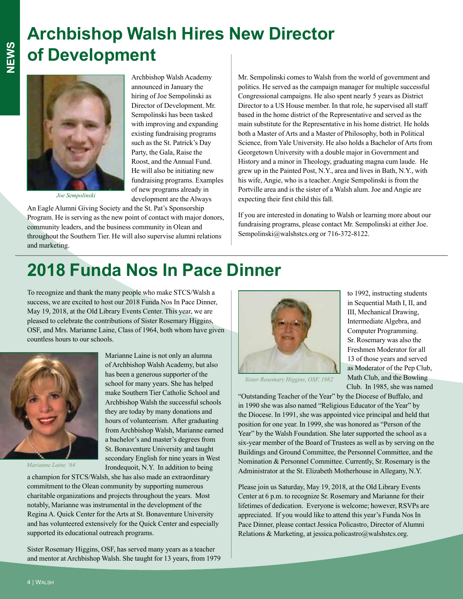# **Archbishop Walsh Hires New Director of Development**



*Joe Sempolinski*

Archbishop Walsh Academy announced in January the hiring of Joe Sempolinski as Director of Development. Mr. Sempolinski has been tasked with improving and expanding existing fundraising programs such as the St. Patrick's Day Party, the Gala, Raise the Roost, and the Annual Fund. He will also be initiating new fundraising programs. Examples of new programs already in development are the Always An Eagle Alumni Giving Society and the St. Pat's Sponsorship

Program. He is serving as the new point of contact with major donors, community leaders, and the business community in Olean and throughout the Southern Tier. He will also supervise alumni relations and marketing.

Mr. Sempolinski comes to Walsh from the world of government and politics. He served as the campaign manager for multiple successful Congressional campaigns. He also spent nearly 5 years as District Director to a US House member. In that role, he supervised all staff based in the home district of the Representative and served as the main substitute for the Representative in his home district. He holds both a Master of Arts and a Master of Philosophy, both in Political Science, from Yale University. He also holds a Bachelor of Arts from Georgetown University with a double major in Government and History and a minor in Theology, graduating magna cum laude. He grew up in the Painted Post, N.Y., area and lives in Bath, N.Y., with his wife, Angie, who is a teacher. Angie Sempolinski is from the Portville area and is the sister of a Walsh alum. Joe and Angie are expecting their first child this fall.

If you are interested in donating to Walsh or learning more about our fundraising programs, please contact Mr. Sempolinski at either Joe. Sempolinski@walshstcs.org or 716-372-8122.

### **2018 Funda Nos In Pace Dinner**

Marianne Laine is not only an alumna of Archbishop Walsh Academy, but also has been a generous supporter of the school for many years. She has helped make Southern Tier Catholic School and Archbishop Walsh the successful schools they are today by many donations and hours of volunteerism. After graduating from Archbishop Walsh, Marianne earned a bachelor's and master's degrees from St. Bonaventure University and taught secondary English for nine years in West

To recognize and thank the many people who make STCS/Walsh a success, we are excited to host our 2018 Funda Nos In Pace Dinner, May 19, 2018, at the Old Library Events Center. This year, we are pleased to celebrate the contributions of Sister Rosemary Higgins, OSF, and Mrs. Marianne Laine, Class of 1964, both whom have given countless hours to our schools.



*Marianne Laine '64*

Irondequoit, N.Y. In addition to being a champion for STCS/Walsh, she has also made an extraordinary commitment to the Olean community by supporting numerous charitable organizations and projects throughout the years. Most notably, Marianne was instrumental in the development of the Regina A. Quick Center for the Arts at St. Bonaventure University and has volunteered extensively for the Quick Center and especially supported its educational outreach programs.

Sister Rosemary Higgins, OSF, has served many years as a teacher and mentor at Archbishop Walsh. She taught for 13 years, from 1979



to 1992, instructing students in Sequential Math I, II, and III, Mechanical Drawing, Intermediate Algebra, and Computer Programming. Sr. Rosemary was also the Freshmen Moderator for all 13 of those years and served as Moderator of the Pep Club, Math Club, and the Bowling Club. In 1985, she was named

*Sister Rosemary Higgins, OSF, 1982*

"Outstanding Teacher of the Year" by the Diocese of Buffalo, and in 1990 she was also named "Religious Educator of the Year" by the Diocese. In 1991, she was appointed vice principal and held that position for one year. In 1999, she was honored as "Person of the Year" by the Walsh Foundation. She later supported the school as a six-year member of the Board of Trustees as well as by serving on the Buildings and Ground Committee, the Personnel Committee, and the Nomination & Personnel Committee. Currently, Sr. Rosemary is the Administrator at the St. Elizabeth Motherhouse in Allegany, N.Y.

Please join us Saturday, May 19, 2018, at the Old Library Events Center at 6 p.m. to recognize Sr. Rosemary and Marianne for their lifetimes of dedication. Everyone is welcome; however, RSVPs are appreciated. If you would like to attend this year's Funda Nos In Pace Dinner, please contact Jessica Policastro, Director of Alumni Relations & Marketing, at jessica.policastro@walshstcs.org.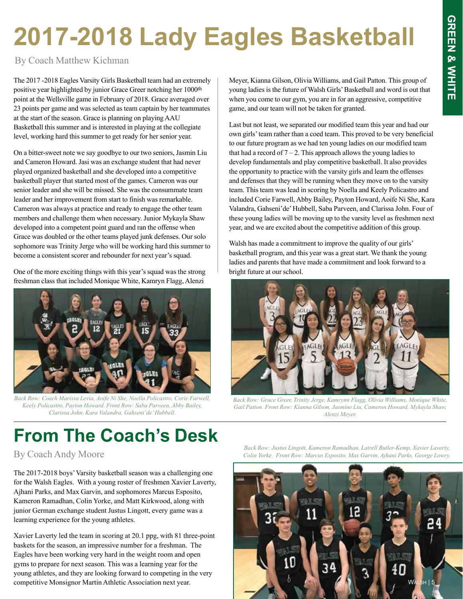# **2017-2018 Lady Eagles Basketball**

By Coach Matthew Kichman

The 2017 -2018 Eagles Varsity Girls Basketball team had an extremely positive year highlighted by junior Grace Greer notching her 1000th point at the Wellsville game in February of 2018. Grace averaged over 23 points per game and was selected as team captain by her teammates at the start of the season. Grace is planning on playing AAU Basketball this summer and is interested in playing at the collegiate level, working hard this summer to get ready for her senior year.

On a bitter-sweet note we say goodbye to our two seniors, Jasmin Liu and Cameron Howard. Jasi was an exchange student that had never played organized basketball and she developed into a competitive basketball player that started most of the games. Cameron was our senior leader and she will be missed. She was the consummate team leader and her improvement from start to finish was remarkable. Cameron was always at practice and ready to engage the other team members and challenge them when necessary. Junior Mykayla Shaw developed into a competent point guard and ran the offense when Grace was doubled or the other teams played junk defenses. Our solo sophomore was Trinity Jerge who will be working hard this summer to become a consistent scorer and rebounder for next year's squad.

One of the more exciting things with this year's squad was the strong freshman class that included Monique White, Kamryn Flagg, Alenzi



*Back Row: Coach Marissa Levia, Aoife Ni She, Noella Policastro, Corie Farwell, Keely Policastro, Payton Howard. Front Row: Saba Parveen, Abby Bailey, Clarissa John, Kara Valandra, Gahseni'de' Hubbell.*

Meyer, Kianna Gilson, Olivia Williams, and Gail Patton. This group of young ladies is the future of Walsh Girls' Basketball and word is out that when you come to our gym, you are in for an aggressive, competitive game, and our team will not be taken for granted.

Last but not least, we separated our modified team this year and had our own girls' team rather than a coed team. This proved to be very beneficial to our future program as we had ten young ladies on our modified team that had a record of  $7 - 2$ . This approach allows the young ladies to develop fundamentals and play competitive basketball. It also provides the opportunity to practice with the varsity girls and learn the offenses and defenses that they will be running when they move on to the varsity team. This team was lead in scoring by Noella and Keely Policastro and included Corie Farwell, Abby Bailey, Payton Howard, Aoife Ni She, Kara Valandra, Gahseni'de' Hubbell, Saba Parveen, and Clarissa John. Four of these young ladies will be moving up to the varsity level as freshmen next year, and we are excited about the competitive addition of this group.

Walsh has made a commitment to improve the quality of our girls' basketball program, and this year was a great start. We thank the young ladies and parents that have made a commitment and look forward to a bright future at our school.



*Back Row: Grace Greer, Trinity Jerge, Kamrynn Flagg, Olivia Williams, Monique White, Gail Patton. Front Row: Kianna Gilson, Jasmine Liu, Cameron Howard, Mykayla Shaw, Alenzi Meyer.*

## **From The Coach's Desk**

By Coach Andy Moore

The 2017-2018 boys' Varsity basketball season was a challenging one for the Walsh Eagles. With a young roster of freshmen Xavier Laverty, Ajhani Parks, and Max Garvin, and sophomores Marcus Esposito, Kameron Ramadhan, Colin Yorke, and Matt Kirkwood, along with junior German exchange student Justus Lingott, every game was a learning experience for the young athletes.

Xavier Laverty led the team in scoring at 20.1 ppg, with 81 three-point baskets for the season, an impressive number for a freshman. The Eagles have been working very hard in the weight room and open gyms to prepare for next season. This was a learning year for the young athletes, and they are looking forward to competing in the very competitive Monsignor Martin Athletic Association next year.

*Back Row: Justus Lingott, Kameron Ramadhan, Latrell Butler-Kemp, Xavier Laverty, Colin Yorke. Front Row: Marcus Esposito, Max Garvin, Ajhani Parks, George Lowry.*

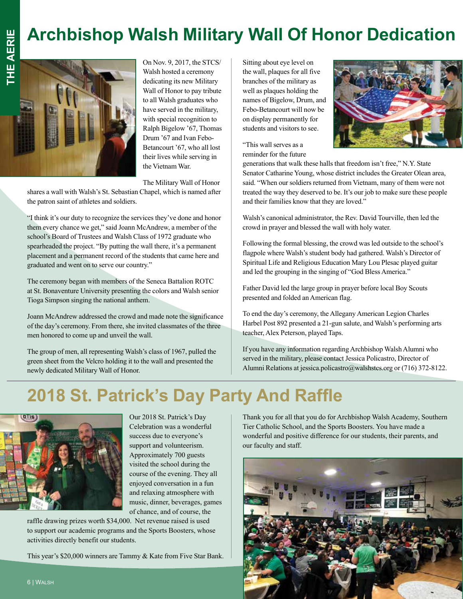### **Archbishop Walsh Military Wall Of Honor Dedication**



On Nov. 9, 2017, the STCS/ Walsh hosted a ceremony dedicating its new Military Wall of Honor to pay tribute to all Walsh graduates who have served in the military, with special recognition to Ralph Bigelow '67, Thomas Drum '67 and Ivan Febo-Betancourt '67, who all lost their lives while serving in the Vietnam War.

The Military Wall of Honor

shares a wall with Walsh's St. Sebastian Chapel, which is named after the patron saint of athletes and soldiers.

"I think it's our duty to recognize the services they've done and honor them every chance we get," said Joann McAndrew, a member of the school's Board of Trustees and Walsh Class of 1972 graduate who spearheaded the project. "By putting the wall there, it's a permanent placement and a permanent record of the students that came here and graduated and went on to serve our country."

The ceremony began with members of the Seneca Battalion ROTC at St. Bonaventure University presenting the colors and Walsh senior Tioga Simpson singing the national anthem.

Joann McAndrew addressed the crowd and made note the significance of the day's ceremony. From there, she invited classmates of the three men honored to come up and unveil the wall.

The group of men, all representing Walsh's class of 1967, pulled the green sheet from the Velcro holding it to the wall and presented the newly dedicated Military Wall of Honor.

Sitting about eye level on the wall, plaques for all five branches of the military as well as plaques holding the names of Bigelow, Drum, and Febo-Betancourt will now be on display permanently for students and visitors to see.



"This wall serves as a reminder for the future

generations that walk these halls that freedom isn't free," N.Y. State Senator Catharine Young, whose district includes the Greater Olean area, said. "When our soldiers returned from Vietnam, many of them were not treated the way they deserved to be. It's our job to make sure these people and their families know that they are loved."

Walsh's canonical administrator, the Rev. David Tourville, then led the crowd in prayer and blessed the wall with holy water.

Following the formal blessing, the crowd was led outside to the school's flagpole where Walsh's student body had gathered. Walsh's Director of Spiritual Life and Religious Education Mary Lou Plesac played guitar and led the grouping in the singing of "God Bless America."

Father David led the large group in prayer before local Boy Scouts presented and folded an American flag.

To end the day's ceremony, the Allegany American Legion Charles Harbel Post 892 presented a 21-gun salute, and Walsh's performing arts teacher, Alex Peterson, played Taps.

If you have any information regarding Archbishop Walsh Alumni who served in the military, please contact Jessica Policastro, Director of Alumni Relations at jessica.policastro@walshstcs.org or (716) 372-8122.

#### **2018 St. Patrick's Day Party And Raffle**



Our 2018 St. Patrick's Day Celebration was a wonderful success due to everyone's support and volunteerism. Approximately 700 guests visited the school during the course of the evening. They all enjoyed conversation in a fun and relaxing atmosphere with music, dinner, beverages, games of chance, and of course, the

raffle drawing prizes worth \$34,000. Net revenue raised is used to support our academic programs and the Sports Boosters, whose activities directly benefit our students.

This year's \$20,000 winners are Tammy & Kate from Five Star Bank.

Thank you for all that you do for Archbishop Walsh Academy, Southern Tier Catholic School, and the Sports Boosters. You have made a wonderful and positive difference for our students, their parents, and our faculty and staff.

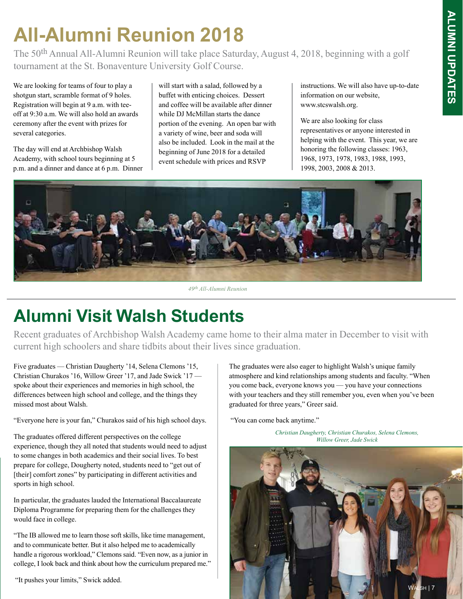# **All-Alumni Reunion 2018**

The 50<sup>th</sup> Annual All-Alumni Reunion will take place Saturday, August 4, 2018, beginning with a golf tournament at the St. Bonaventure University Golf Course.

We are looking for teams of four to play a shotgun start, scramble format of 9 holes. Registration will begin at 9 a.m. with teeoff at 9:30 a.m. We will also hold an awards ceremony after the event with prizes for several categories.

The day will end at Archbishop Walsh Academy, with school tours beginning at 5 p.m. and a dinner and dance at 6 p.m. Dinner will start with a salad, followed by a buffet with enticing choices. Dessert and coffee will be available after dinner while DJ McMillan starts the dance portion of the evening. An open bar with a variety of wine, beer and soda will also be included. Look in the mail at the beginning of June 2018 for a detailed event schedule with prices and RSVP

instructions. We will also have up-to-date information on our website, www.stcswalsh.org.

We are also looking for class representatives or anyone interested in helping with the event. This year, we are honoring the following classes: 1963, 1968, 1973, 1978, 1983, 1988, 1993, 1998, 2003, 2008 & 2013.



*49th All-Alumni Reunion*

#### **Alumni Visit Walsh Students**

Recent graduates of Archbishop Walsh Academy came home to their alma mater in December to visit with current high schoolers and share tidbits about their lives since graduation.

Five graduates — Christian Daugherty '14, Selena Clemons '15, Christian Churakos '16, Willow Greer '17, and Jade Swick '17 spoke about their experiences and memories in high school, the differences between high school and college, and the things they missed most about Walsh.

"Everyone here is your fan," Churakos said of his high school days.

The graduates offered different perspectives on the college experience, though they all noted that students would need to adjust to some changes in both academics and their social lives. To best prepare for college, Dougherty noted, students need to "get out of [their] comfort zones" by participating in different activities and sports in high school.

In particular, the graduates lauded the International Baccalaureate Diploma Programme for preparing them for the challenges they would face in college.

"The IB allowed me to learn those soft skills, like time management, and to communicate better. But it also helped me to academically handle a rigorous workload," Clemons said. "Even now, as a junior in college, I look back and think about how the curriculum prepared me."

"It pushes your limits," Swick added.

The graduates were also eager to highlight Walsh's unique family atmosphere and kind relationships among students and faculty. "When you come back, everyone knows you — you have your connections with your teachers and they still remember you, even when you've been graduated for three years," Greer said.

"You can come back anytime."

*Christian Daugherty, Christian Churakos, Selena Clemons, Willow Greer, Jade Swick*